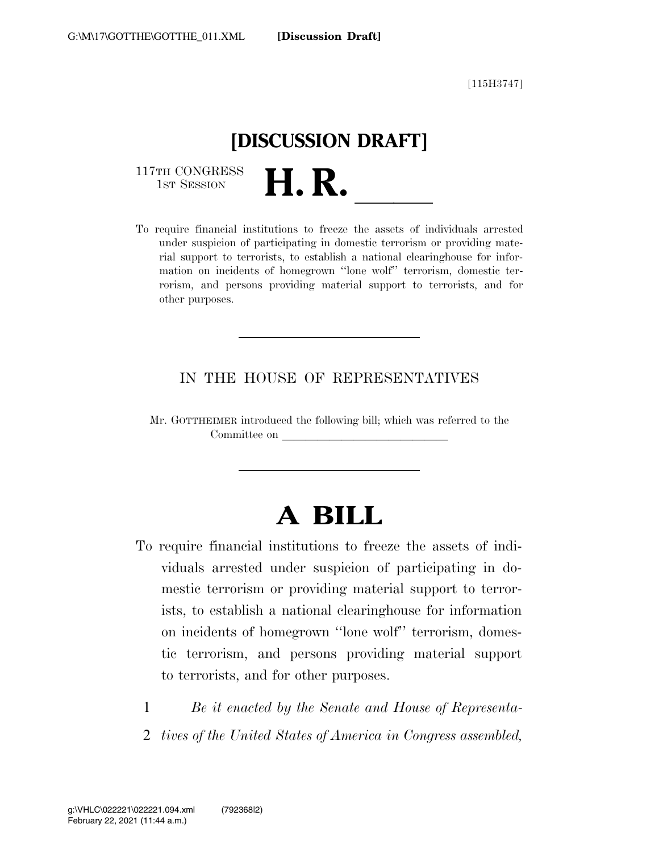[115H3747]

## **[DISCUSSION DRAFT]**

117TH CONGRESS<br>1st Session

117TH CONGRESS<br>1st SESSION<br>To require financial institutions to freeze the assets of individuals arrested under suspicion of participating in domestic terrorism or providing material support to terrorists, to establish a national clearinghouse for information on incidents of homegrown ''lone wolf'' terrorism, domestic terrorism, and persons providing material support to terrorists, and for other purposes.

#### IN THE HOUSE OF REPRESENTATIVES

Mr. GOTTHEIMER introduced the following bill; which was referred to the Committee on

# **A BILL**

- To require financial institutions to freeze the assets of individuals arrested under suspicion of participating in domestic terrorism or providing material support to terrorists, to establish a national clearinghouse for information on incidents of homegrown ''lone wolf'' terrorism, domestic terrorism, and persons providing material support to terrorists, and for other purposes.
	- 1 *Be it enacted by the Senate and House of Representa-*
	- 2 *tives of the United States of America in Congress assembled,*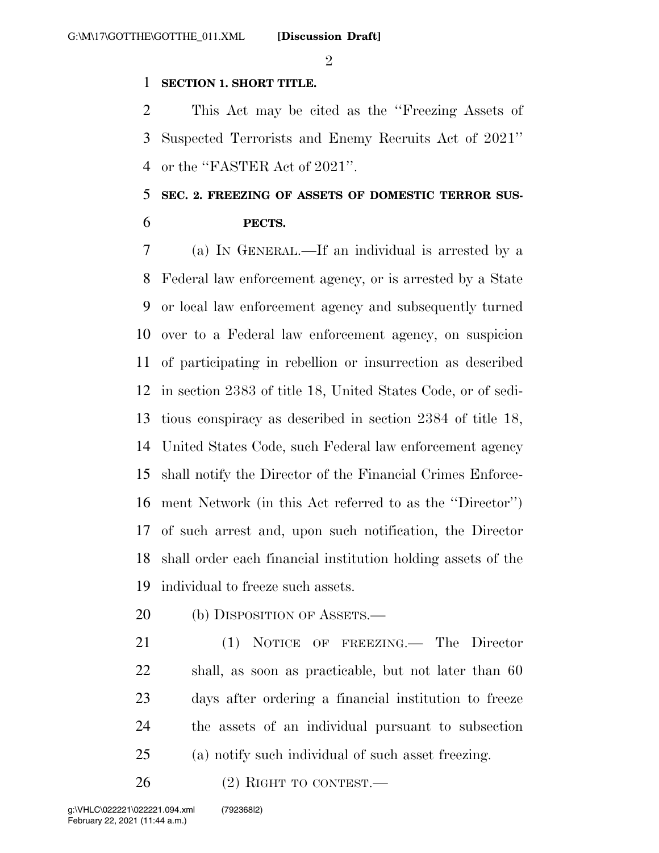$\mathfrak{D}$ 

#### **SECTION 1. SHORT TITLE.**

 This Act may be cited as the ''Freezing Assets of Suspected Terrorists and Enemy Recruits Act of 2021'' or the ''FASTER Act of 2021''.

### **SEC. 2. FREEZING OF ASSETS OF DOMESTIC TERROR SUS-PECTS.**

 (a) IN GENERAL.—If an individual is arrested by a Federal law enforcement agency, or is arrested by a State or local law enforcement agency and subsequently turned over to a Federal law enforcement agency, on suspicion of participating in rebellion or insurrection as described in section 2383 of title 18, United States Code, or of sedi- tious conspiracy as described in section 2384 of title 18, United States Code, such Federal law enforcement agency shall notify the Director of the Financial Crimes Enforce- ment Network (in this Act referred to as the ''Director'') of such arrest and, upon such notification, the Director shall order each financial institution holding assets of the individual to freeze such assets.

20 (b) DISPOSITION OF ASSETS.—

 (1) NOTICE OF FREEZING.— The Director shall, as soon as practicable, but not later than 60 days after ordering a financial institution to freeze the assets of an individual pursuant to subsection (a) notify such individual of such asset freezing.

26 (2) RIGHT TO CONTEST.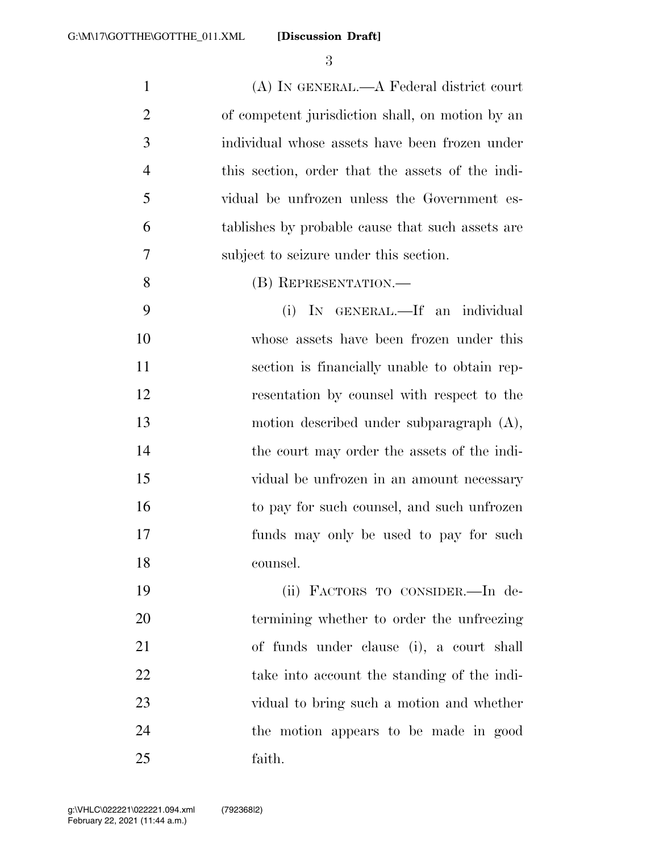**[Discussion Draft]** 

 (A) IN GENERAL.—A Federal district court of competent jurisdiction shall, on motion by an individual whose assets have been frozen under this section, order that the assets of the indi- vidual be unfrozen unless the Government es- tablishes by probable cause that such assets are subject to seizure under this section. (B) REPRESENTATION.— (i) IN GENERAL.—If an individual

 whose assets have been frozen under this section is financially unable to obtain rep- resentation by counsel with respect to the motion described under subparagraph (A), the court may order the assets of the indi- vidual be unfrozen in an amount necessary to pay for such counsel, and such unfrozen funds may only be used to pay for such counsel.

 (ii) FACTORS TO CONSIDER.—In de- termining whether to order the unfreezing of funds under clause (i), a court shall take into account the standing of the indi- vidual to bring such a motion and whether the motion appears to be made in good faith.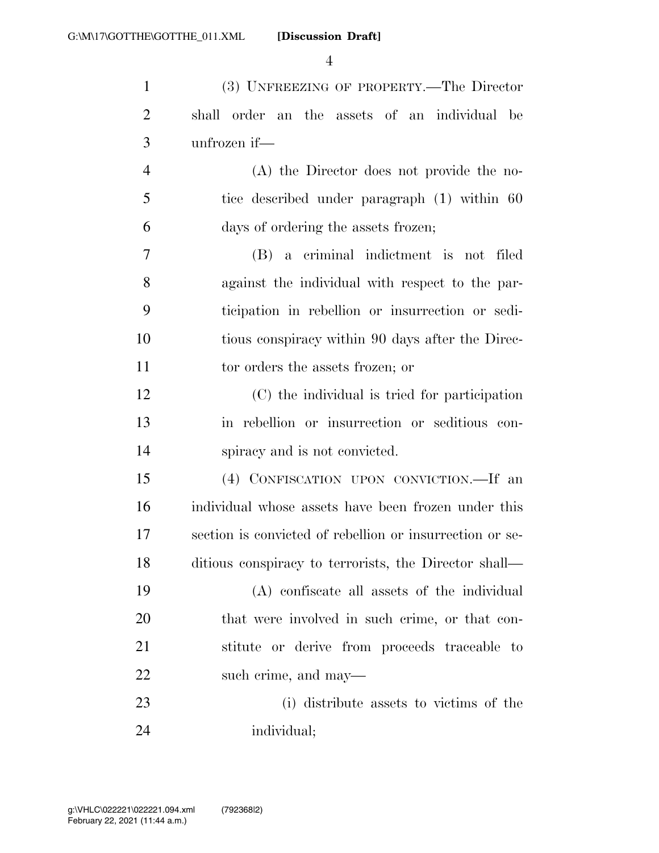**[Discussion Draft]** 

| $\mathbf{1}$   | (3) UNFREEZING OF PROPERTY.—The Director                 |
|----------------|----------------------------------------------------------|
| $\overline{2}$ | shall order an the assets of an individual be            |
| 3              | unfrozen if-                                             |
| $\overline{4}$ | (A) the Director does not provide the no-                |
| 5              | tice described under paragraph (1) within 60             |
| 6              | days of ordering the assets frozen;                      |
| 7              | (B) a criminal indictment is not filed                   |
| 8              | against the individual with respect to the par-          |
| 9              | ticipation in rebellion or insurrection or sedi-         |
| 10             | tious conspiracy within 90 days after the Direc-         |
| 11             | tor orders the assets frozen; or                         |
| 12             | (C) the individual is tried for participation            |
| 13             | in rebellion or insurrection or seditious con-           |
| 14             | spiracy and is not convicted.                            |
| 15             | (4) CONFISCATION UPON CONVICTION.—If an                  |
| 16             | individual whose assets have been frozen under this      |
| 17             | section is convicted of rebellion or insurrection or se- |
| 18             | ditious conspiracy to terrorists, the Director shall—    |
| 19             | (A) confiscate all assets of the individual              |
| 20             | that were involved in such crime, or that con-           |
| 21             | stitute or derive from proceeds traceable to             |
| 22             | such crime, and may—                                     |
| 23             | (i) distribute assets to victims of the                  |
| 24             | individual;                                              |